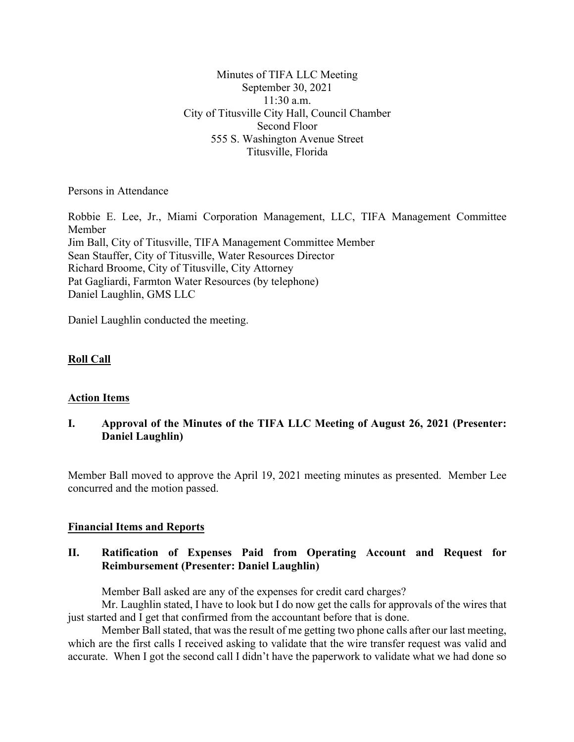Minutes of TIFA LLC Meeting September 30, 2021 11:30 a.m. City of Titusville City Hall, Council Chamber Second Floor 555 S. Washington Avenue Street Titusville, Florida

Persons in Attendance

Robbie E. Lee, Jr., Miami Corporation Management, LLC, TIFA Management Committee Member Jim Ball, City of Titusville, TIFA Management Committee Member Sean Stauffer, City of Titusville, Water Resources Director Richard Broome, City of Titusville, City Attorney Pat Gagliardi, Farmton Water Resources (by telephone) Daniel Laughlin, GMS LLC

Daniel Laughlin conducted the meeting.

# **Roll Call**

# **Action Items**

# **I. Approval of the Minutes of the TIFA LLC Meeting of August 26, 2021 (Presenter: Daniel Laughlin)**

Member Ball moved to approve the April 19, 2021 meeting minutes as presented. Member Lee concurred and the motion passed.

## **Financial Items and Reports**

# **II. Ratification of Expenses Paid from Operating Account and Request for Reimbursement (Presenter: Daniel Laughlin)**

Member Ball asked are any of the expenses for credit card charges?

Mr. Laughlin stated, I have to look but I do now get the calls for approvals of the wires that just started and I get that confirmed from the accountant before that is done.

Member Ball stated, that was the result of me getting two phone calls after our last meeting, which are the first calls I received asking to validate that the wire transfer request was valid and accurate. When I got the second call I didn't have the paperwork to validate what we had done so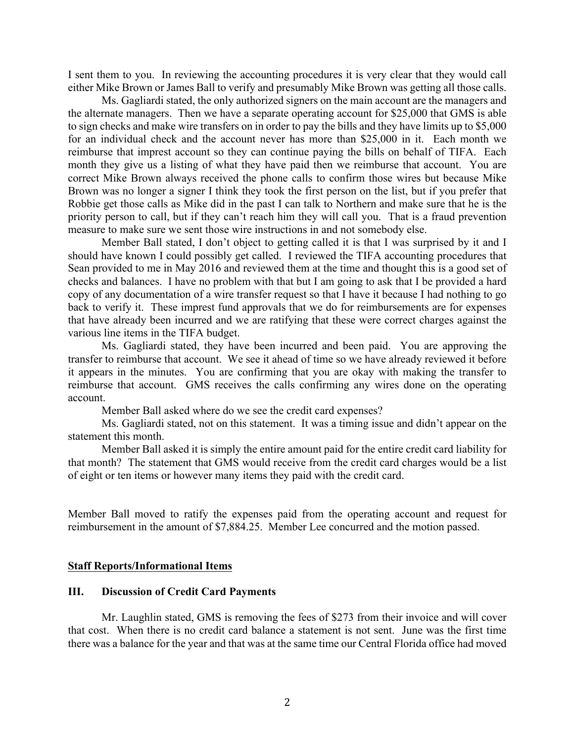I sent them to you. In reviewing the accounting procedures it is very clear that they would call either Mike Brown or James Ball to verify and presumably Mike Brown was getting all those calls.

Ms. Gagliardi stated, the only authorized signers on the main account are the managers and the alternate managers. Then we have a separate operating account for \$25,000 that GMS is able to sign checks and make wire transfers on in order to pay the bills and they have limits up to \$5,000 for an individual check and the account never has more than \$25,000 in it. Each month we reimburse that imprest account so they can continue paying the bills on behalf of TIFA. Each month they give us a listing of what they have paid then we reimburse that account. You are correct Mike Brown always received the phone calls to confirm those wires but because Mike Brown was no longer a signer I think they took the first person on the list, but if you prefer that Robbie get those calls as Mike did in the past I can talk to Northern and make sure that he is the priority person to call, but if they can't reach him they will call you. That is a fraud prevention measure to make sure we sent those wire instructions in and not somebody else.

Member Ball stated, I don't object to getting called it is that I was surprised by it and I should have known I could possibly get called. I reviewed the TIFA accounting procedures that Sean provided to me in May 2016 and reviewed them at the time and thought this is a good set of checks and balances. I have no problem with that but I am going to ask that I be provided a hard copy of any documentation of a wire transfer request so that I have it because I had nothing to go back to verify it. These imprest fund approvals that we do for reimbursements are for expenses that have already been incurred and we are ratifying that these were correct charges against the various line items in the TIFA budget.

Ms. Gagliardi stated, they have been incurred and been paid. You are approving the transfer to reimburse that account. We see it ahead of time so we have already reviewed it before it appears in the minutes. You are confirming that you are okay with making the transfer to reimburse that account. GMS receives the calls confirming any wires done on the operating account.

Member Ball asked where do we see the credit card expenses?

Ms. Gagliardi stated, not on this statement. It was a timing issue and didn't appear on the statement this month.

Member Ball asked it is simply the entire amount paid for the entire credit card liability for that month? The statement that GMS would receive from the credit card charges would be a list of eight or ten items or however many items they paid with the credit card.

Member Ball moved to ratify the expenses paid from the operating account and request for reimbursement in the amount of \$7,884.25. Member Lee concurred and the motion passed.

### **Staff Reports/Informational Items**

### **III. Discussion of Credit Card Payments**

Mr. Laughlin stated, GMS is removing the fees of \$273 from their invoice and will cover that cost. When there is no credit card balance a statement is not sent. June was the first time there was a balance for the year and that was at the same time our Central Florida office had moved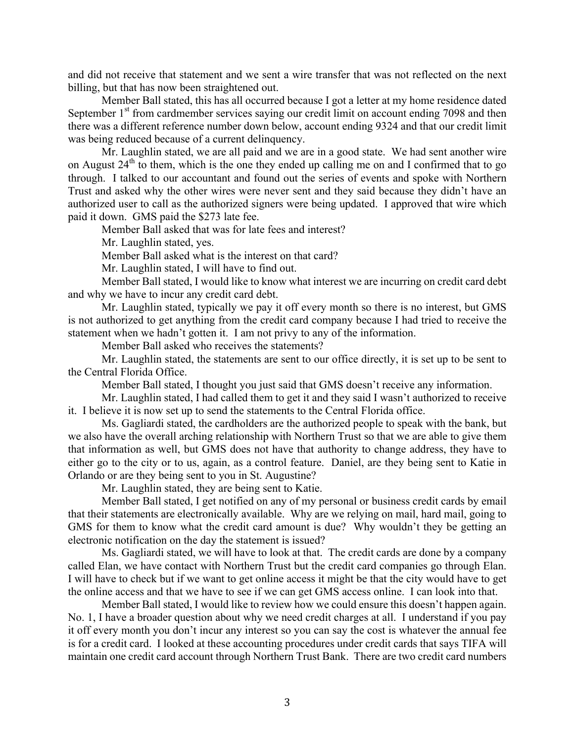and did not receive that statement and we sent a wire transfer that was not reflected on the next billing, but that has now been straightened out.

Member Ball stated, this has all occurred because I got a letter at my home residence dated September  $1<sup>st</sup>$  from cardmember services saying our credit limit on account ending 7098 and then there was a different reference number down below, account ending 9324 and that our credit limit was being reduced because of a current delinquency.

Mr. Laughlin stated, we are all paid and we are in a good state. We had sent another wire on August  $24<sup>th</sup>$  to them, which is the one they ended up calling me on and I confirmed that to go through. I talked to our accountant and found out the series of events and spoke with Northern Trust and asked why the other wires were never sent and they said because they didn't have an authorized user to call as the authorized signers were being updated. I approved that wire which paid it down. GMS paid the \$273 late fee.

Member Ball asked that was for late fees and interest?

Mr. Laughlin stated, yes.

Member Ball asked what is the interest on that card?

Mr. Laughlin stated, I will have to find out.

Member Ball stated, I would like to know what interest we are incurring on credit card debt and why we have to incur any credit card debt.

Mr. Laughlin stated, typically we pay it off every month so there is no interest, but GMS is not authorized to get anything from the credit card company because I had tried to receive the statement when we hadn't gotten it. I am not privy to any of the information.

Member Ball asked who receives the statements?

Mr. Laughlin stated, the statements are sent to our office directly, it is set up to be sent to the Central Florida Office.

Member Ball stated, I thought you just said that GMS doesn't receive any information.

Mr. Laughlin stated, I had called them to get it and they said I wasn't authorized to receive it. I believe it is now set up to send the statements to the Central Florida office.

Ms. Gagliardi stated, the cardholders are the authorized people to speak with the bank, but we also have the overall arching relationship with Northern Trust so that we are able to give them that information as well, but GMS does not have that authority to change address, they have to either go to the city or to us, again, as a control feature. Daniel, are they being sent to Katie in Orlando or are they being sent to you in St. Augustine?

Mr. Laughlin stated, they are being sent to Katie.

Member Ball stated, I get notified on any of my personal or business credit cards by email that their statements are electronically available. Why are we relying on mail, hard mail, going to GMS for them to know what the credit card amount is due? Why wouldn't they be getting an electronic notification on the day the statement is issued?

Ms. Gagliardi stated, we will have to look at that. The credit cards are done by a company called Elan, we have contact with Northern Trust but the credit card companies go through Elan. I will have to check but if we want to get online access it might be that the city would have to get the online access and that we have to see if we can get GMS access online. I can look into that.

Member Ball stated, I would like to review how we could ensure this doesn't happen again. No. 1, I have a broader question about why we need credit charges at all. I understand if you pay it off every month you don't incur any interest so you can say the cost is whatever the annual fee is for a credit card. I looked at these accounting procedures under credit cards that says TIFA will maintain one credit card account through Northern Trust Bank. There are two credit card numbers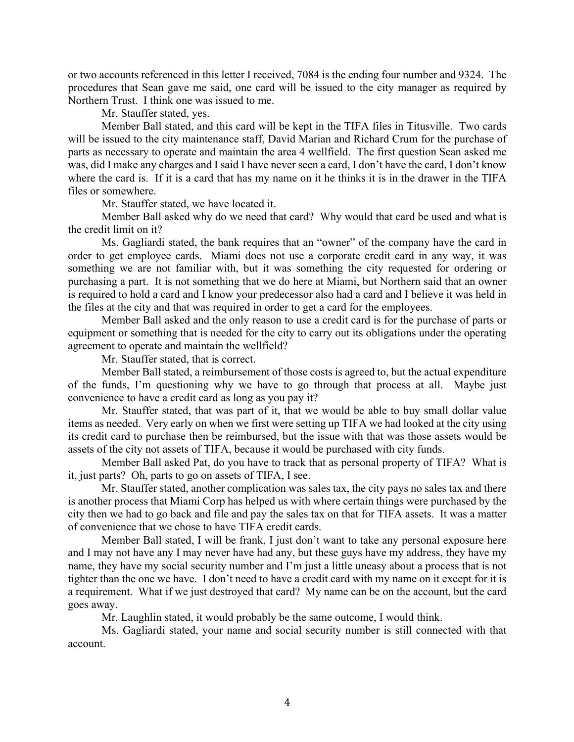or two accounts referenced in this letter I received, 7084 is the ending four number and 9324. The procedures that Sean gave me said, one card will be issued to the city manager as required by Northern Trust. I think one was issued to me.

Mr. Stauffer stated, yes.

Member Ball stated, and this card will be kept in the TIFA files in Titusville. Two cards will be issued to the city maintenance staff, David Marian and Richard Crum for the purchase of parts as necessary to operate and maintain the area 4 wellfield. The first question Sean asked me was, did I make any charges and I said I have never seen a card, I don't have the card, I don't know where the card is. If it is a card that has my name on it he thinks it is in the drawer in the TIFA files or somewhere.

Mr. Stauffer stated, we have located it.

Member Ball asked why do we need that card? Why would that card be used and what is the credit limit on it?

Ms. Gagliardi stated, the bank requires that an "owner" of the company have the card in order to get employee cards. Miami does not use a corporate credit card in any way, it was something we are not familiar with, but it was something the city requested for ordering or purchasing a part. It is not something that we do here at Miami, but Northern said that an owner is required to hold a card and I know your predecessor also had a card and I believe it was held in the files at the city and that was required in order to get a card for the employees.

Member Ball asked and the only reason to use a credit card is for the purchase of parts or equipment or something that is needed for the city to carry out its obligations under the operating agreement to operate and maintain the wellfield?

Mr. Stauffer stated, that is correct.

Member Ball stated, a reimbursement of those costs is agreed to, but the actual expenditure of the funds, I'm questioning why we have to go through that process at all. Maybe just convenience to have a credit card as long as you pay it?

Mr. Stauffer stated, that was part of it, that we would be able to buy small dollar value items as needed. Very early on when we first were setting up TIFA we had looked at the city using its credit card to purchase then be reimbursed, but the issue with that was those assets would be assets of the city not assets of TIFA, because it would be purchased with city funds.

Member Ball asked Pat, do you have to track that as personal property of TIFA? What is it, just parts? Oh, parts to go on assets of TIFA, I see.

Mr. Stauffer stated, another complication was sales tax, the city pays no sales tax and there is another process that Miami Corp has helped us with where certain things were purchased by the city then we had to go back and file and pay the sales tax on that for TIFA assets. It was a matter of convenience that we chose to have TIFA credit cards.

Member Ball stated, I will be frank, I just don't want to take any personal exposure here and I may not have any I may never have had any, but these guys have my address, they have my name, they have my social security number and I'm just a little uneasy about a process that is not tighter than the one we have. I don't need to have a credit card with my name on it except for it is a requirement. What if we just destroyed that card? My name can be on the account, but the card goes away.

Mr. Laughlin stated, it would probably be the same outcome, I would think.

Ms. Gagliardi stated, your name and social security number is still connected with that account.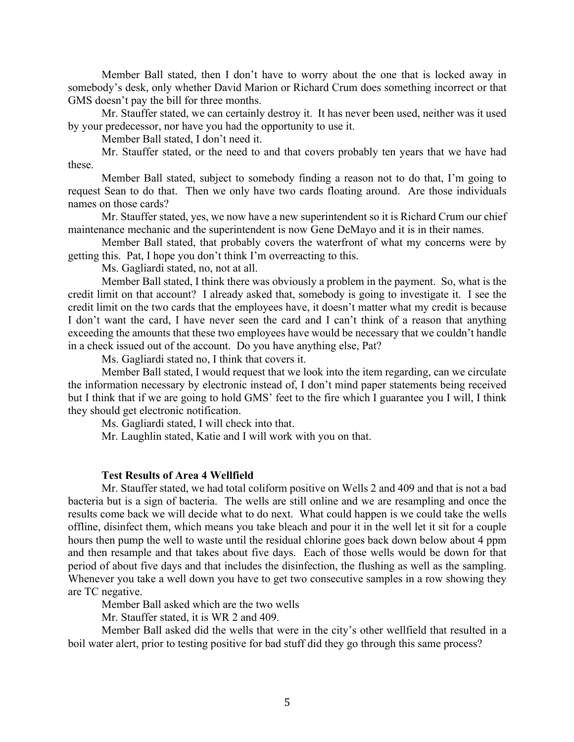Member Ball stated, then I don't have to worry about the one that is locked away in somebody's desk, only whether David Marion or Richard Crum does something incorrect or that GMS doesn't pay the bill for three months.

Mr. Stauffer stated, we can certainly destroy it. It has never been used, neither was it used by your predecessor, nor have you had the opportunity to use it.

Member Ball stated, I don't need it.

Mr. Stauffer stated, or the need to and that covers probably ten years that we have had these.

Member Ball stated, subject to somebody finding a reason not to do that, I'm going to request Sean to do that. Then we only have two cards floating around. Are those individuals names on those cards?

Mr. Stauffer stated, yes, we now have a new superintendent so it is Richard Crum our chief maintenance mechanic and the superintendent is now Gene DeMayo and it is in their names.

Member Ball stated, that probably covers the waterfront of what my concerns were by getting this. Pat, I hope you don't think I'm overreacting to this.

Ms. Gagliardi stated, no, not at all.

Member Ball stated, I think there was obviously a problem in the payment. So, what is the credit limit on that account? I already asked that, somebody is going to investigate it. I see the credit limit on the two cards that the employees have, it doesn't matter what my credit is because I don't want the card, I have never seen the card and I can't think of a reason that anything exceeding the amounts that these two employees have would be necessary that we couldn't handle in a check issued out of the account. Do you have anything else, Pat?

Ms. Gagliardi stated no, I think that covers it.

Member Ball stated, I would request that we look into the item regarding, can we circulate the information necessary by electronic instead of, I don't mind paper statements being received but I think that if we are going to hold GMS' feet to the fire which I guarantee you I will, I think they should get electronic notification.

Ms. Gagliardi stated, I will check into that.

Mr. Laughlin stated, Katie and I will work with you on that.

#### **Test Results of Area 4 Wellfield**

Mr. Stauffer stated, we had total coliform positive on Wells 2 and 409 and that is not a bad bacteria but is a sign of bacteria. The wells are still online and we are resampling and once the results come back we will decide what to do next. What could happen is we could take the wells offline, disinfect them, which means you take bleach and pour it in the well let it sit for a couple hours then pump the well to waste until the residual chlorine goes back down below about 4 ppm and then resample and that takes about five days. Each of those wells would be down for that period of about five days and that includes the disinfection, the flushing as well as the sampling. Whenever you take a well down you have to get two consecutive samples in a row showing they are TC negative.

Member Ball asked which are the two wells

Mr. Stauffer stated, it is WR 2 and 409.

Member Ball asked did the wells that were in the city's other wellfield that resulted in a boil water alert, prior to testing positive for bad stuff did they go through this same process?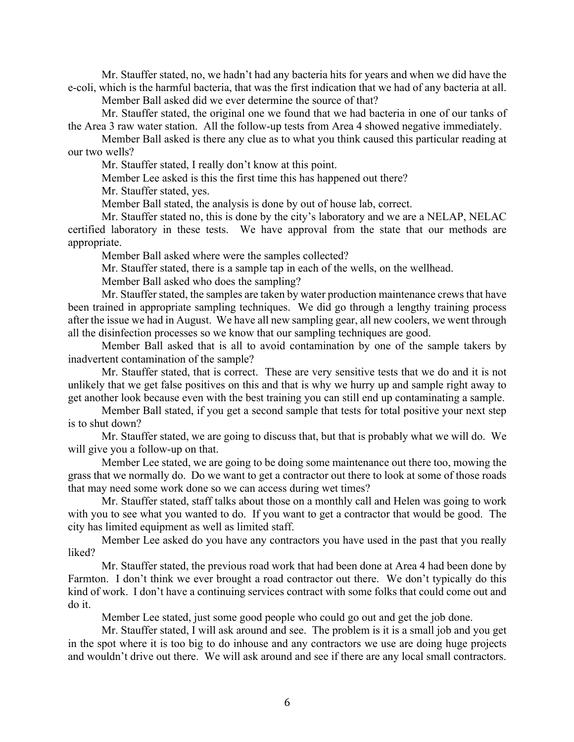Mr. Stauffer stated, no, we hadn't had any bacteria hits for years and when we did have the e-coli, which is the harmful bacteria, that was the first indication that we had of any bacteria at all.

Member Ball asked did we ever determine the source of that?

Mr. Stauffer stated, the original one we found that we had bacteria in one of our tanks of the Area 3 raw water station. All the follow-up tests from Area 4 showed negative immediately.

Member Ball asked is there any clue as to what you think caused this particular reading at our two wells?

Mr. Stauffer stated, I really don't know at this point.

Member Lee asked is this the first time this has happened out there?

Mr. Stauffer stated, yes.

Member Ball stated, the analysis is done by out of house lab, correct.

Mr. Stauffer stated no, this is done by the city's laboratory and we are a NELAP, NELAC certified laboratory in these tests. We have approval from the state that our methods are appropriate.

Member Ball asked where were the samples collected?

Mr. Stauffer stated, there is a sample tap in each of the wells, on the wellhead.

Member Ball asked who does the sampling?

Mr. Stauffer stated, the samples are taken by water production maintenance crews that have been trained in appropriate sampling techniques. We did go through a lengthy training process after the issue we had in August. We have all new sampling gear, all new coolers, we went through all the disinfection processes so we know that our sampling techniques are good.

Member Ball asked that is all to avoid contamination by one of the sample takers by inadvertent contamination of the sample?

Mr. Stauffer stated, that is correct. These are very sensitive tests that we do and it is not unlikely that we get false positives on this and that is why we hurry up and sample right away to get another look because even with the best training you can still end up contaminating a sample.

Member Ball stated, if you get a second sample that tests for total positive your next step is to shut down?

Mr. Stauffer stated, we are going to discuss that, but that is probably what we will do. We will give you a follow-up on that.

Member Lee stated, we are going to be doing some maintenance out there too, mowing the grass that we normally do. Do we want to get a contractor out there to look at some of those roads that may need some work done so we can access during wet times?

Mr. Stauffer stated, staff talks about those on a monthly call and Helen was going to work with you to see what you wanted to do. If you want to get a contractor that would be good. The city has limited equipment as well as limited staff.

Member Lee asked do you have any contractors you have used in the past that you really liked?

Mr. Stauffer stated, the previous road work that had been done at Area 4 had been done by Farmton. I don't think we ever brought a road contractor out there. We don't typically do this kind of work. I don't have a continuing services contract with some folks that could come out and do it.

Member Lee stated, just some good people who could go out and get the job done.

Mr. Stauffer stated, I will ask around and see. The problem is it is a small job and you get in the spot where it is too big to do inhouse and any contractors we use are doing huge projects and wouldn't drive out there. We will ask around and see if there are any local small contractors.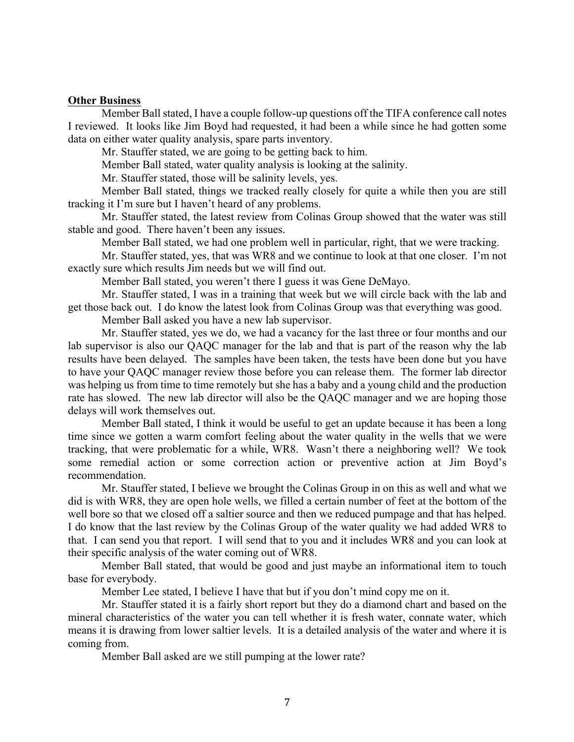#### **Other Business**

Member Ball stated, I have a couple follow-up questions off the TIFA conference call notes I reviewed. It looks like Jim Boyd had requested, it had been a while since he had gotten some data on either water quality analysis, spare parts inventory.

Mr. Stauffer stated, we are going to be getting back to him.

Member Ball stated, water quality analysis is looking at the salinity.

Mr. Stauffer stated, those will be salinity levels, yes.

Member Ball stated, things we tracked really closely for quite a while then you are still tracking it I'm sure but I haven't heard of any problems.

Mr. Stauffer stated, the latest review from Colinas Group showed that the water was still stable and good. There haven't been any issues.

Member Ball stated, we had one problem well in particular, right, that we were tracking.

Mr. Stauffer stated, yes, that was WR8 and we continue to look at that one closer. I'm not exactly sure which results Jim needs but we will find out.

Member Ball stated, you weren't there I guess it was Gene DeMayo.

Mr. Stauffer stated, I was in a training that week but we will circle back with the lab and get those back out. I do know the latest look from Colinas Group was that everything was good.

Member Ball asked you have a new lab supervisor.

Mr. Stauffer stated, yes we do, we had a vacancy for the last three or four months and our lab supervisor is also our QAQC manager for the lab and that is part of the reason why the lab results have been delayed. The samples have been taken, the tests have been done but you have to have your QAQC manager review those before you can release them. The former lab director was helping us from time to time remotely but she has a baby and a young child and the production rate has slowed. The new lab director will also be the QAQC manager and we are hoping those delays will work themselves out.

Member Ball stated, I think it would be useful to get an update because it has been a long time since we gotten a warm comfort feeling about the water quality in the wells that we were tracking, that were problematic for a while, WR8. Wasn't there a neighboring well? We took some remedial action or some correction action or preventive action at Jim Boyd's recommendation.

Mr. Stauffer stated, I believe we brought the Colinas Group in on this as well and what we did is with WR8, they are open hole wells, we filled a certain number of feet at the bottom of the well bore so that we closed off a saltier source and then we reduced pumpage and that has helped. I do know that the last review by the Colinas Group of the water quality we had added WR8 to that. I can send you that report. I will send that to you and it includes WR8 and you can look at their specific analysis of the water coming out of WR8.

Member Ball stated, that would be good and just maybe an informational item to touch base for everybody.

Member Lee stated, I believe I have that but if you don't mind copy me on it.

Mr. Stauffer stated it is a fairly short report but they do a diamond chart and based on the mineral characteristics of the water you can tell whether it is fresh water, connate water, which means it is drawing from lower saltier levels. It is a detailed analysis of the water and where it is coming from.

Member Ball asked are we still pumping at the lower rate?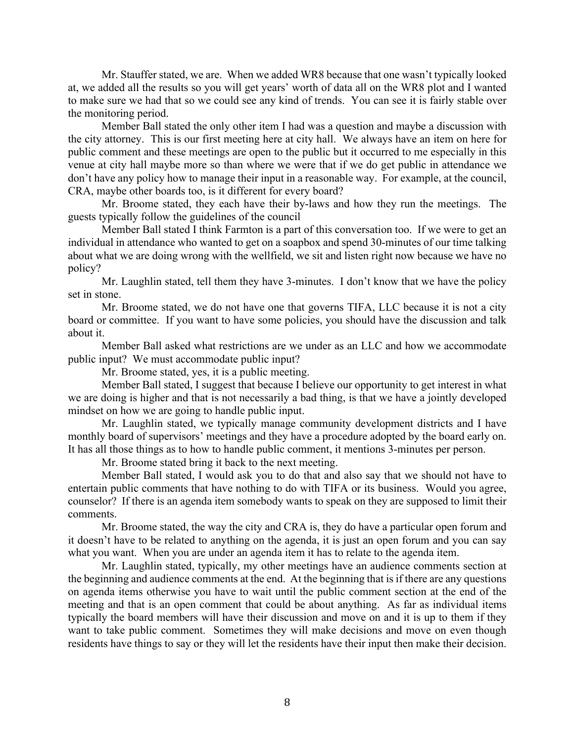Mr. Stauffer stated, we are. When we added WR8 because that one wasn't typically looked at, we added all the results so you will get years' worth of data all on the WR8 plot and I wanted to make sure we had that so we could see any kind of trends. You can see it is fairly stable over the monitoring period.

Member Ball stated the only other item I had was a question and maybe a discussion with the city attorney. This is our first meeting here at city hall. We always have an item on here for public comment and these meetings are open to the public but it occurred to me especially in this venue at city hall maybe more so than where we were that if we do get public in attendance we don't have any policy how to manage their input in a reasonable way. For example, at the council, CRA, maybe other boards too, is it different for every board?

Mr. Broome stated, they each have their by-laws and how they run the meetings. The guests typically follow the guidelines of the council

Member Ball stated I think Farmton is a part of this conversation too. If we were to get an individual in attendance who wanted to get on a soapbox and spend 30-minutes of our time talking about what we are doing wrong with the wellfield, we sit and listen right now because we have no policy?

Mr. Laughlin stated, tell them they have 3-minutes. I don't know that we have the policy set in stone.

Mr. Broome stated, we do not have one that governs TIFA, LLC because it is not a city board or committee. If you want to have some policies, you should have the discussion and talk about it.

Member Ball asked what restrictions are we under as an LLC and how we accommodate public input? We must accommodate public input?

Mr. Broome stated, yes, it is a public meeting.

Member Ball stated, I suggest that because I believe our opportunity to get interest in what we are doing is higher and that is not necessarily a bad thing, is that we have a jointly developed mindset on how we are going to handle public input.

Mr. Laughlin stated, we typically manage community development districts and I have monthly board of supervisors' meetings and they have a procedure adopted by the board early on. It has all those things as to how to handle public comment, it mentions 3-minutes per person.

Mr. Broome stated bring it back to the next meeting.

Member Ball stated, I would ask you to do that and also say that we should not have to entertain public comments that have nothing to do with TIFA or its business. Would you agree, counselor? If there is an agenda item somebody wants to speak on they are supposed to limit their comments.

Mr. Broome stated, the way the city and CRA is, they do have a particular open forum and it doesn't have to be related to anything on the agenda, it is just an open forum and you can say what you want. When you are under an agenda item it has to relate to the agenda item.

Mr. Laughlin stated, typically, my other meetings have an audience comments section at the beginning and audience comments at the end. At the beginning that is if there are any questions on agenda items otherwise you have to wait until the public comment section at the end of the meeting and that is an open comment that could be about anything. As far as individual items typically the board members will have their discussion and move on and it is up to them if they want to take public comment. Sometimes they will make decisions and move on even though residents have things to say or they will let the residents have their input then make their decision.